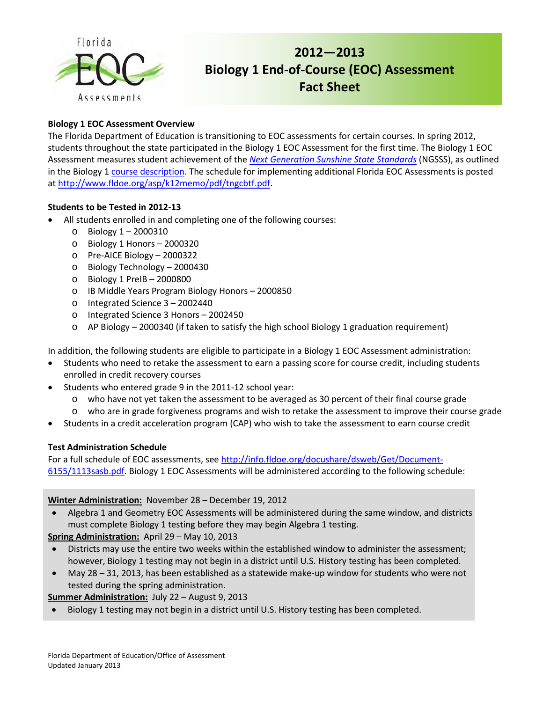

# **2012—2013 Biology 1 End-of-Course (EOC) Assessment Fact Sheet**

## **Biology 1 EOC Assessment Overview**

The Florida Department of Education is transitioning to EOC assessments for certain courses. In spring 2012, students throughout the state participated in the Biology 1 EOC Assessment for the first time. The Biology 1 EOC Assessment measures student achievement of the *[Next Generation Sunshine State Standards](http://www.floridastandards.org/index.aspx)* (NGSSS), as outlined in the Biology [1 course description.](http://www.floridastandards.org/Courses/PublicPreviewCourse69.aspx) The schedule for implementing additional Florida EOC Assessments is posted at [http://www.fldoe.org/asp/k12memo/pdf/tngcbtf.pdf.](http://www.fldoe.org/asp/k12memo/pdf/tngcbtf.pdf)

## **Students to be Tested in 2012-13**

- All students enrolled in and completing one of the following courses:
	- o Biology 1 2000310
	- o Biology 1 Honors 2000320
	- o Pre-AICE Biology 2000322
	- o Biology Technology 2000430
	- o Biology 1 PreIB 2000800
	- o IB Middle Years Program Biology Honors 2000850
	- o Integrated Science 3 2002440
	- o Integrated Science 3 Honors 2002450
	- o AP Biology 2000340 (if taken to satisfy the high school Biology 1 graduation requirement)

In addition, the following students are eligible to participate in a Biology 1 EOC Assessment administration:

- Students who need to retake the assessment to earn a passing score for course credit, including students enrolled in credit recovery courses
- Students who entered grade 9 in the 2011-12 school year:
	- o who have not yet taken the assessment to be averaged as 30 percent of their final course grade
	- o who are in grade forgiveness programs and wish to retake the assessment to improve their course grade
- Students in a credit acceleration program (CAP) who wish to take the assessment to earn course credit

#### **Test Administration Schedule**

For a full schedule of EOC assessments, se[e http://info.fldoe.org/docushare/dsweb/Get/Document-](http://info.fldoe.org/docushare/dsweb/Get/Document-6155/1113sasb.pdf.%202012-13)[6155/1113sasb.pdf.](http://info.fldoe.org/docushare/dsweb/Get/Document-6155/1113sasb.pdf) Biology 1 EOC Assessments will be administered according to the following schedule:

## **Winter Administration:** November 28 – December 19, 2012

• Algebra 1 and Geometry EOC Assessments will be administered during the same window, and districts must complete Biology 1 testing before they may begin Algebra 1 testing.

## **Spring Administration:** April 29 – May 10, 2013

- Districts may use the entire two weeks within the established window to administer the assessment; however, Biology 1 testing may not begin in a district until U.S. History testing has been completed.
- May 28 31, 2013, has been established as a statewide make-up window for students who were not tested during the spring administration.

**Summer Administration:** July 22 – August 9, 2013

• Biology 1 testing may not begin in a district until U.S. History testing has been completed.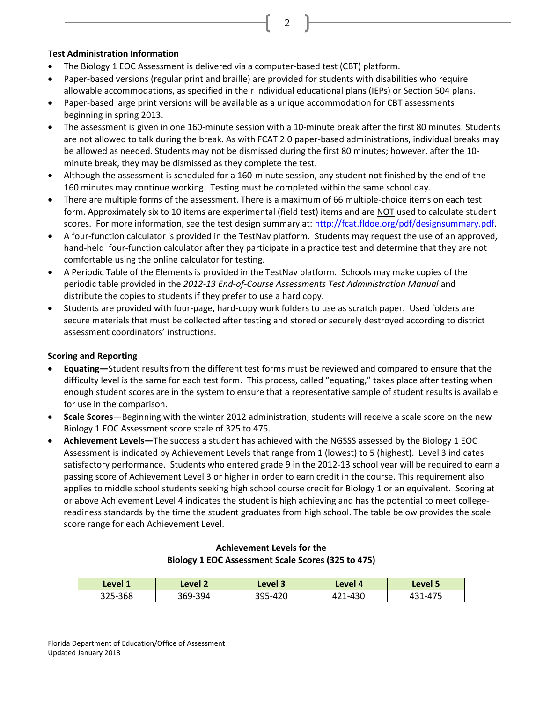2

#### **Test Administration Information**

- The Biology 1 EOC Assessment is delivered via a computer-based test (CBT) platform.
- Paper-based versions (regular print and braille) are provided for students with disabilities who require allowable accommodations, as specified in their individual educational plans (IEPs) or Section 504 plans.
- Paper-based large print versions will be available as a unique accommodation for CBT assessments beginning in spring 2013.
- The assessment is given in one 160-minute session with a 10-minute break after the first 80 minutes. Students are not allowed to talk during the break. As with FCAT 2.0 paper-based administrations, individual breaks may be allowed as needed. Students may not be dismissed during the first 80 minutes; however, after the 10 minute break, they may be dismissed as they complete the test.
- Although the assessment is scheduled for a 160-minute session, any student not finished by the end of the 160 minutes may continue working. Testing must be completed within the same school day.
- There are multiple forms of the assessment. There is a maximum of 66 multiple-choice items on each test form. Approximately six to 10 items are experimental (field test) items and are NOT used to calculate student scores. For more information, see the test design summary at: [http://fcat.fldoe.org/pdf/designsummary.pdf.](http://fcat.fldoe.org/pdf/designsummary.pdf)
- A four-function calculator is provided in the TestNav platform. Students may request the use of an approved, hand-held four-function calculator after they participate in a practice test and determine that they are not comfortable using the online calculator for testing.
- A Periodic Table of the Elements is provided in the TestNav platform. Schools may make copies of the periodic table provided in the *2012-13 End-of-Course Assessments Test Administration Manual* and distribute the copies to students if they prefer to use a hard copy.
- Students are provided with four-page, hard-copy work folders to use as scratch paper. Used folders are secure materials that must be collected after testing and stored or securely destroyed according to district assessment coordinators' instructions.

#### **Scoring and Reporting**

- **Equating—**Student results from the different test forms must be reviewed and compared to ensure that the difficulty level is the same for each test form. This process, called "equating," takes place after testing when enough student scores are in the system to ensure that a representative sample of student results is available for use in the comparison.
- **Scale Scores—**Beginning with the winter 2012 administration, students will receive a scale score on the new Biology 1 EOC Assessment score scale of 325 to 475.
- **Achievement Levels—**The success a student has achieved with the NGSSS assessed by the Biology 1 EOC Assessment is indicated by Achievement Levels that range from 1 (lowest) to 5 (highest). Level 3 indicates satisfactory performance. Students who entered grade 9 in the 2012-13 school year will be required to earn a passing score of Achievement Level 3 or higher in order to earn credit in the course. This requirement also applies to middle school students seeking high school course credit for Biology 1 or an equivalent. Scoring at or above Achievement Level 4 indicates the student is high achieving and has the potential to meet collegereadiness standards by the time the student graduates from high school. The table below provides the scale score range for each Achievement Level.

| Level 1 | Level 2 | Level 3 | Level 4 | Level 5 |
|---------|---------|---------|---------|---------|
| 325-368 | 369-394 | 395-420 | 421-430 | 431-475 |

#### **Achievement Levels for the Biology 1 EOC Assessment Scale Scores (325 to 475)**